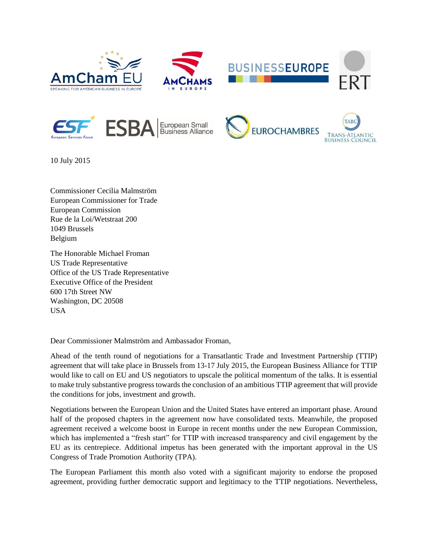













10 July 2015

Commissioner Cecilia Malmström European Commissioner for Trade European Commission Rue de la Loi/Wetstraat 200 1049 Brussels Belgium

The Honorable Michael Froman US Trade Representative Office of the US Trade Representative Executive Office of the President 600 17th Street NW Washington, DC 20508 USA

Dear Commissioner Malmström and Ambassador Froman,

Ahead of the tenth round of negotiations for a Transatlantic Trade and Investment Partnership (TTIP) agreement that will take place in Brussels from 13-17 July 2015, the European Business Alliance for TTIP would like to call on EU and US negotiators to upscale the political momentum of the talks. It is essential to make truly substantive progress towards the conclusion of an ambitious TTIP agreement that will provide the conditions for jobs, investment and growth.

Negotiations between the European Union and the United States have entered an important phase. Around half of the proposed chapters in the agreement now have consolidated texts. Meanwhile, the proposed agreement received a welcome boost in Europe in recent months under the new European Commission, which has implemented a "fresh start" for TTIP with increased transparency and civil engagement by the EU as its centrepiece. Additional impetus has been generated with the important approval in the US Congress of Trade Promotion Authority (TPA).

The European Parliament this month also voted with a significant majority to endorse the proposed agreement, providing further democratic support and legitimacy to the TTIP negotiations. Nevertheless,